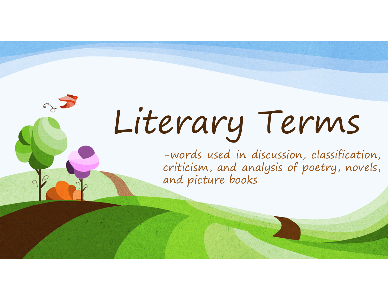# Literary Terms

-words used in discussion, classification, criticism, and analysis of poetry, novels, and <sup>p</sup>icture books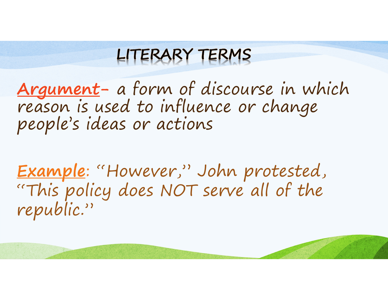<del>Argument</del>- a form of discourse in which<br>reason is used to influence or change<br>people's ideas or actions

Example: "However," John protested, "This policy does NOT serve all of the republic."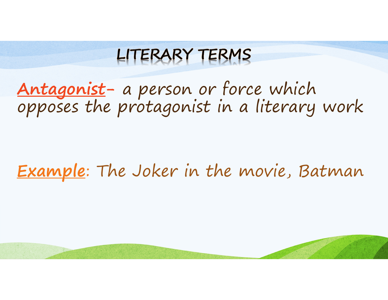# Antagonist- a person or force which<br>opposes the protagonist in a literary work

#### Example: The Joker in the movie, Batman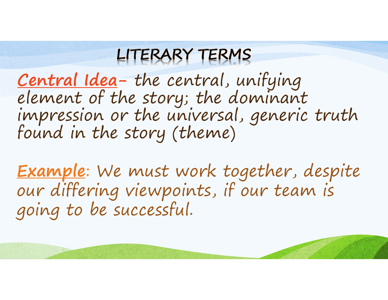Central Idea- the central, unifying<br>element of the story; the dominant impression or the universal, generic truth<br>found in the story (theme)

Example: We must work together, despite our differing viewpoints, if our team is going to be successful.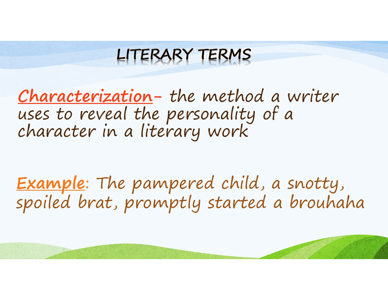Characterization- the method a writer uses to reveal the personality of a character in a literary work

Example: The pampered child, a snotty,<br>spoiled brat, promptly started a brouhaha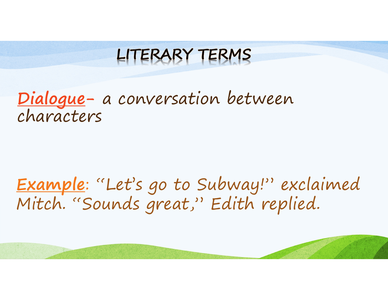Dialogue- a conversation between<br>characters

Example: "Let's go to Subway!" exclaimed Mitch. "Sounds great," Edith replied.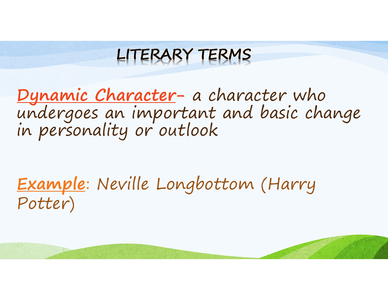<u>Dynamic Character</u>- a character who undergoes an important and basic change<br>in personality or outlook

Example: Neville Longbottom (Harry<br>Potter) Potter)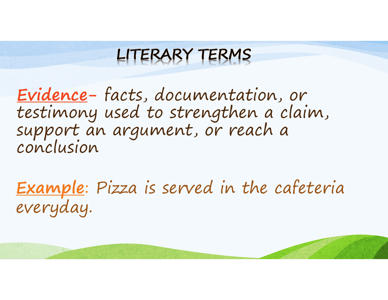Evidence- facts, documentation, or testimony used to strengthen a claim, support an argument, or reach a conclusion

Example: Pizza is served in the cafeteria everyday.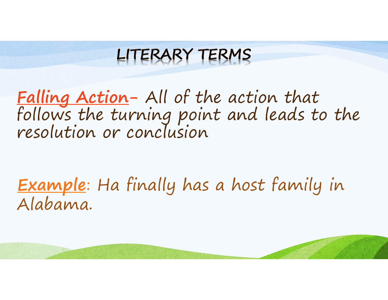<u>Falling Action</u>- All of the action that<br>follows the turning point and leads to the<br>resolution or conclusion

Example: Ha finally has a host family in Alabama.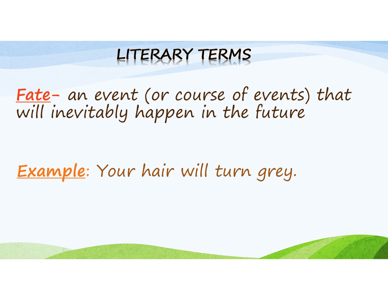# <u>Fate</u>- an event (or course of events) that<br>will inevitably happen in the future

#### Example: Your hair will turn grey.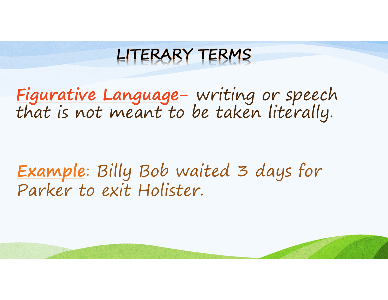LITERARY TERMS

Figurative Language- writing or speech that is not meant to be taken literally.

Example: Billy Bob waited 3 days for Parker to exit Holister.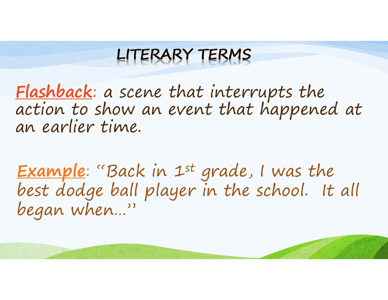Flashback: a scene that interrupts the action to show an event that happened at<br>an earlier time.

Example: "Back in 1<sup>st</sup> grade, I was the<br>best dodge ball player in the school. It all began when…"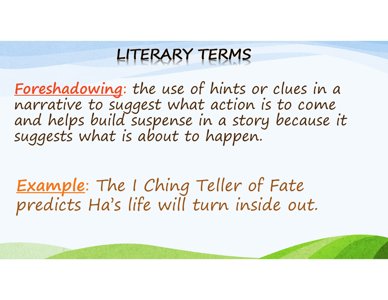Foreshadowing: the use of hints or clues in a narrative to suggest what action is to come and helps build suspense in a story because it suggests what is about to happen.

Example: The I Ching Teller of Fate predicts Ha's life will turn inside out.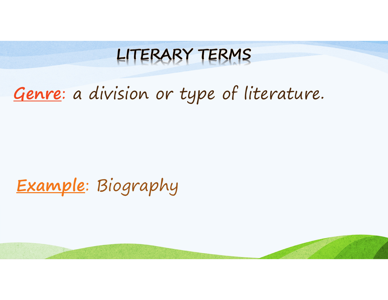# Genre: a division or type of literature.

# Example: Biography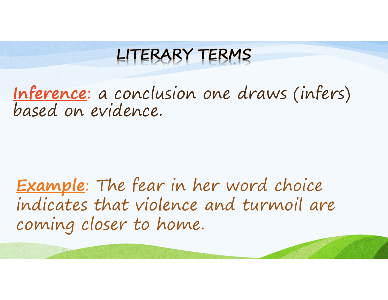Inference: a conclusion one draws (infers)<br>based on evidence.

Example: The fear in her word choice indicates that violence and turmoil are coming closer to home.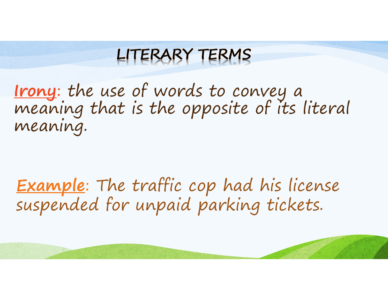Irony: the use of words to convey a meaning that is the opposite of its literal meaning.

Example: The traffic cop had his license suspended for unpaid parking tickets.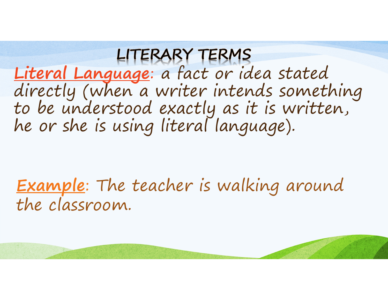Literal Language: a fact or idea stated<br>directly (when a writer intends something<br>to be understood exactly as it is written,<br>he or she is using literal language).

**Example**: The teacher is walking around the classroom.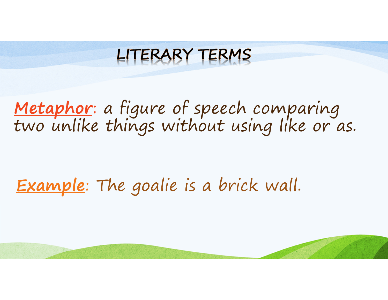# Metaphor: a figure of speech comparing<br>two unlike things without using like or as.

# Example: The goalie is a brick wall.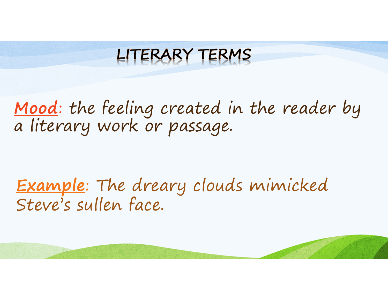# <u>Mood</u>: the feeling created in the reader by<br>a literary work or passage.

Example: The dreary clouds mimicked Steve's sullen face.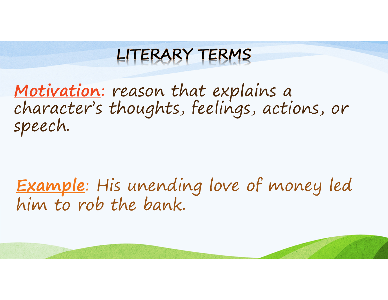# <u>Motivation</u>: reason that explains a<br>character's thoughts, feelings, actions, or<br>speech.

Example: His unending love of money led<br>him to rob the bank.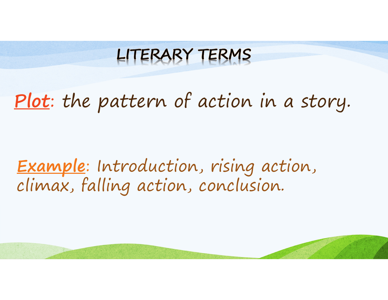# Plot: the pattern of action in a story.

#### Example: Introduction, rising action, climax, falling action, conclusion.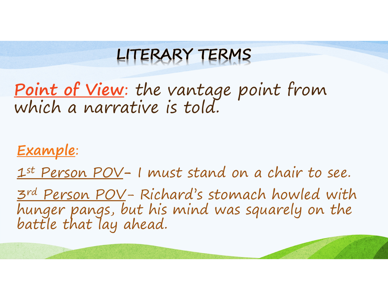Point of View: the vantage point from which a narrative is told.

Example:

1st Person POV- I must stand on a chair to see.

3<sup>rd</sup> Person POV- Richard's stomach howled with hunger pangs, but his mind was squarely on the battle that lay ahead.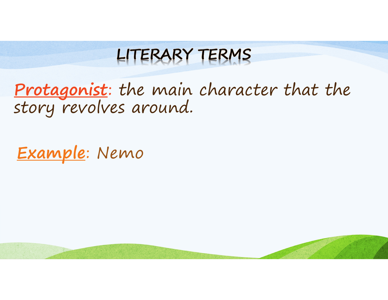Protagonist: the main character that the story revolves around.

Example: Nemo

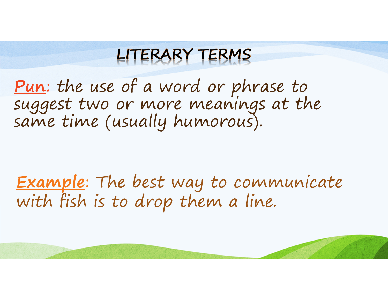<u>Pun</u>: the use of a word or phrase to<br>suggest two or more meanings at the<br>same time (usually humorous).

Example: The best way to communicate with fish is to drop them a line.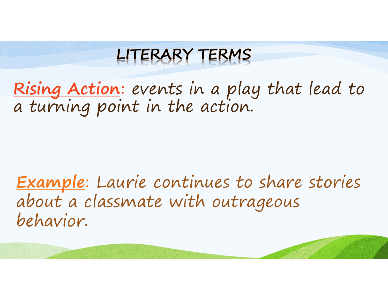Rising Action: events in a play that lead to<br>a turning point in the action.

Example: Laurie continues to share stories about a classmate with outrageous behavior.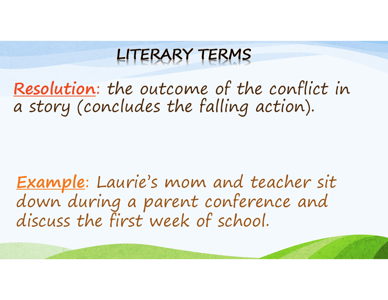Resolution: the outcome of the conflict in a story (concludes the falling action).

Example: Laurie's mom and teacher sit down during a parent conference and discuss the first week of school.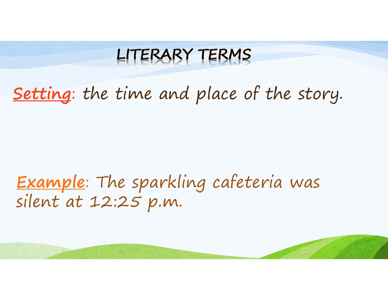# Setting: the time and place of the story.

### Example: The sparkling cafeteria was silent at 12:25 p.m.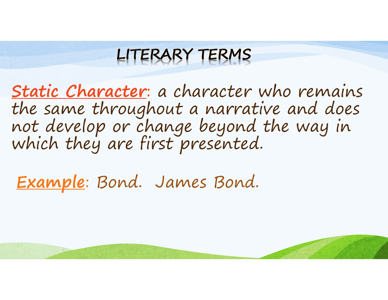Static Character: a character who remains the same throughout a narrative and does<br>not develop or change beyond the way in<br>which they are first presented.

Example: Bond. James Bond.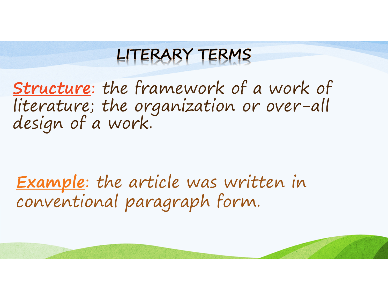Structure: the framework of a work of literature; the organization or over-all design of a work.

Example: the article was written in conventional paragraph form.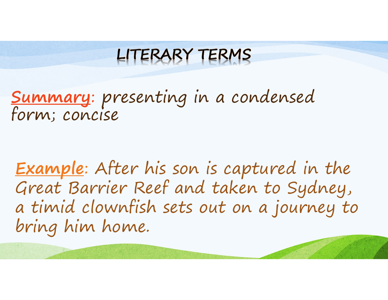Summary: presenting in a condensed form; concise

Example: After his son is captured in the Great Barrier Reef and taken to Sydney, a timid clownfish sets out on a journey to bring him home.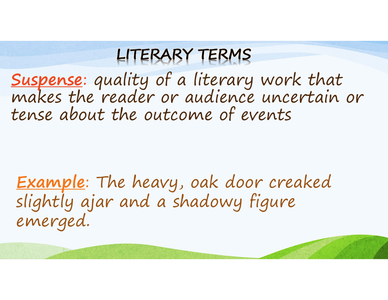Suspense: quality of a literary work that<br>makes the reader or audience uncertain or tense about the outcome of events

Example: The heavy, oak door creaked slightly ajar and a shadowy figure emerged.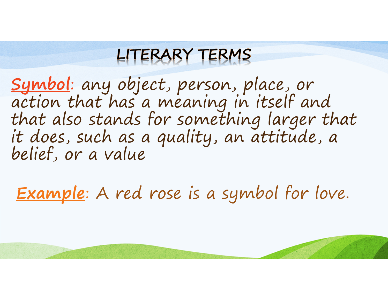Symbol: any object, person, place, or<br>action that has a meaning in itself and<br>that also stands for something larger that<br>it does, such as a quality, an attitude, a<br>belief, or a value

Example: A red rose is a symbol for love.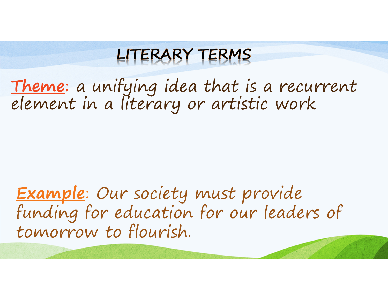<u>Theme</u>: a unifying idea that is a recurrent<br>element in a literary or artistic work

Example: Our society must provide funding for education for our leaders of tomorrow to flourish.